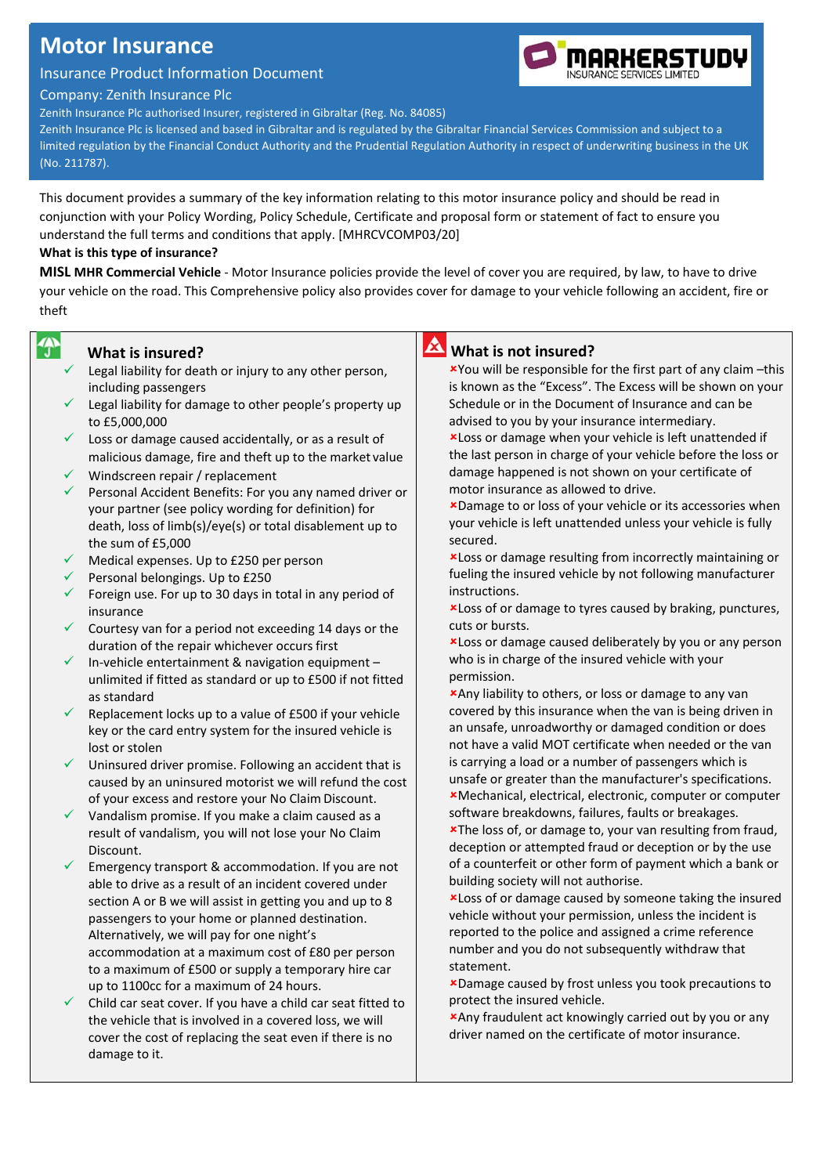## **Motor Insurance**

Insurance Product Information Document

Company: Zenith Insurance Plc

Zenith Insurance Plc authorised Insurer, registered in Gibraltar (Reg. No. 84085)

Zenith Insurance Plc is licensed and based in Gibraltar and is regulated by the Gibraltar Financial Services Commission and subject to a limited regulation by the Financial Conduct Authority and the Prudential Regulation Authority in respect of underwriting business in the UK (No. 211787).

This document provides a summary of the key information relating to this motor insurance policy and should be read in conjunction with your Policy Wording, Policy Schedule, Certificate and proposal form or statement of fact to ensure you understand the full terms and conditions that apply. [MHRCVCOMP03/20]

#### **What is this type of insurance?**

**MISL MHR Commercial Vehicle** - Motor Insurance policies provide the level of cover you are required, by law, to have to drive your vehicle on the road. This Comprehensive policy also provides cover for damage to your vehicle following an accident, fire or theft

## 今

#### **What is insured?**

- Legal liability for death or injury to any other person, including passengers
- Legal liability for damage to other people's property up to £5,000,000
- $\checkmark$  Loss or damage caused accidentally, or as a result of malicious damage, fire and theft up to the market value
- Windscreen repair / replacement
- Personal Accident Benefits: For you any named driver or your partner (see policy wording for definition) for death, loss of limb(s)/eye(s) or total disablement up to the sum of £5,000
- Medical expenses. Up to £250 per person
- Personal belongings. Up to £250
- Foreign use. For up to 30 days in total in any period of insurance
- $\checkmark$  Courtesy van for a period not exceeding 14 days or the duration of the repair whichever occurs first
- In-vehicle entertainment & navigation equipment unlimited if fitted as standard or up to £500 if not fitted as standard
- Replacement locks up to a value of £500 if your vehicle key or the card entry system for the insured vehicle is lost or stolen
- Uninsured driver promise. Following an accident that is caused by an uninsured motorist we will refund the cost of your excess and restore your No Claim Discount.
- Vandalism promise. If you make a claim caused as a result of vandalism, you will not lose your No Claim Discount.
- Emergency transport & accommodation. If you are not able to drive as a result of an incident covered under section A or B we will assist in getting you and up to 8 passengers to your home or planned destination. Alternatively, we will pay for one night's accommodation at a maximum cost of £80 per person to a maximum of £500 or supply a temporary hire car up to 1100cc for a maximum of 24 hours.
- Child car seat cover. If you have a child car seat fitted to the vehicle that is involved in a covered loss, we will cover the cost of replacing the seat even if there is no damage to it.

# **What is not insured?**

You will be responsible for the first part of any claim –this is known as the "Excess". The Excess will be shown on your Schedule or in the Document of Insurance and can be advised to you by your insurance intermediary.

Loss or damage when your vehicle is left unattended if the last person in charge of your vehicle before the loss or damage happened is not shown on your certificate of motor insurance as allowed to drive.

Damage to or loss of your vehicle or its accessories when your vehicle is left unattended unless your vehicle is fully secured.

Loss or damage resulting from incorrectly maintaining or fueling the insured vehicle by not following manufacturer instructions.

Loss of or damage to tyres caused by braking, punctures, cuts or bursts.

Loss or damage caused deliberately by you or any person who is in charge of the insured vehicle with your permission.

Any liability to others, or loss or damage to any van covered by this insurance when the van is being driven in an unsafe, unroadworthy or damaged condition or does not have a valid MOT certificate when needed or the van is carrying a load or a number of passengers which is unsafe or greater than the manufacturer's specifications.

Mechanical, electrical, electronic, computer or computer software breakdowns, failures, faults or breakages.

The loss of, or damage to, your van resulting from fraud, deception or attempted fraud or deception or by the use of a counterfeit or other form of payment which a bank or building society will not authorise.

Loss of or damage caused by someone taking the insured vehicle without your permission, unless the incident is reported to the police and assigned a crime reference number and you do not subsequently withdraw that statement.

Damage caused by frost unless you took precautions to protect the insured vehicle.

Any fraudulent act knowingly carried out by you or any driver named on the certificate of motor insurance.